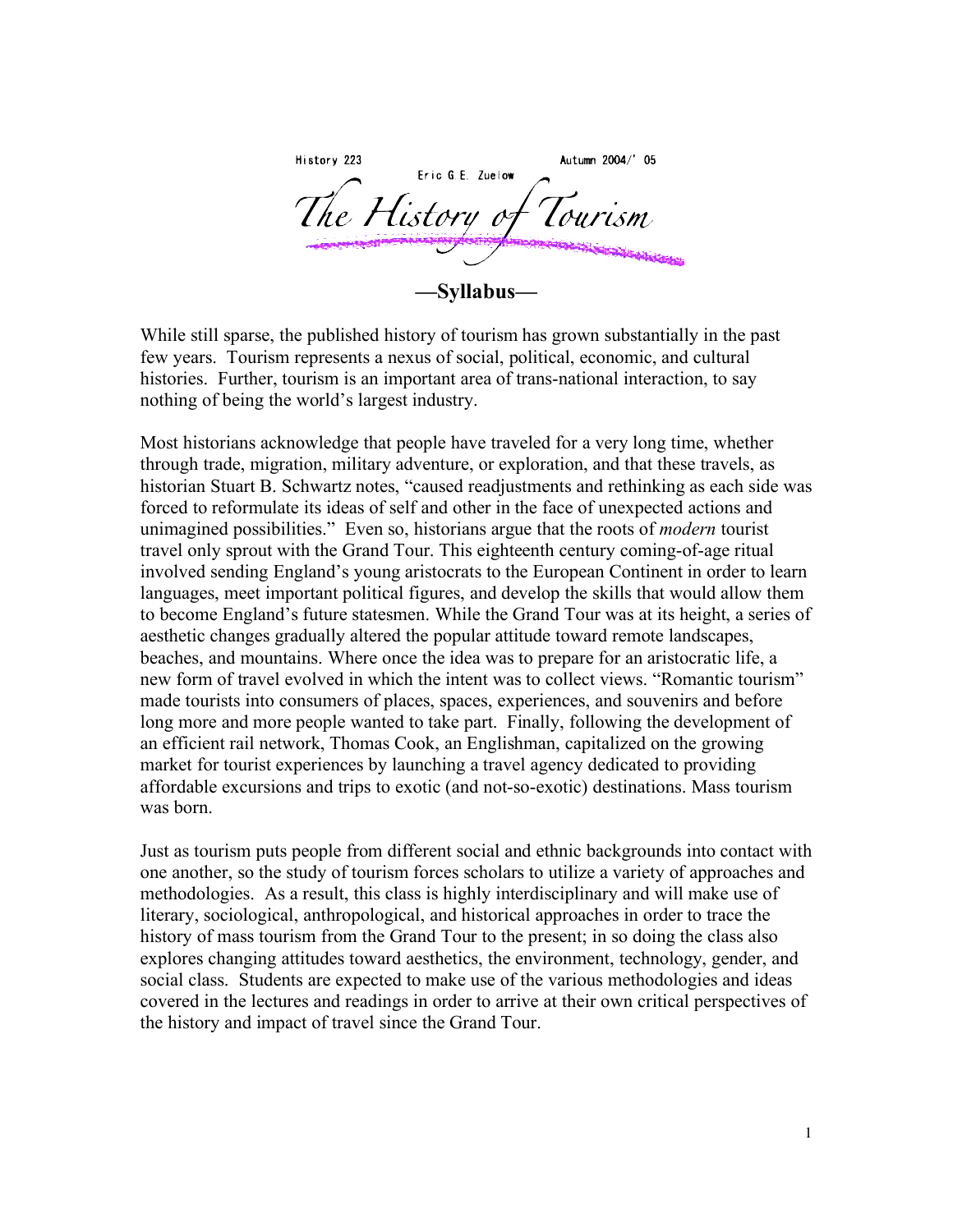History 223 Autumn 2004/' 05 Eric G.E. Zuelow The History **—Syllabus—**

While still sparse, the published history of tourism has grown substantially in the past few years. Tourism represents a nexus of social, political, economic, and cultural histories. Further, tourism is an important area of trans-national interaction, to say nothing of being the world's largest industry.

Most historians acknowledge that people have traveled for a very long time, whether through trade, migration, military adventure, or exploration, and that these travels, as historian Stuart B. Schwartz notes, "caused readjustments and rethinking as each side was forced to reformulate its ideas of self and other in the face of unexpected actions and unimagined possibilities." Even so, historians argue that the roots of *modern* tourist travel only sprout with the Grand Tour. This eighteenth century coming-of-age ritual involved sending England's young aristocrats to the European Continent in order to learn languages, meet important political figures, and develop the skills that would allow them to become England's future statesmen. While the Grand Tour was at its height, a series of aesthetic changes gradually altered the popular attitude toward remote landscapes, beaches, and mountains. Where once the idea was to prepare for an aristocratic life, a new form of travel evolved in which the intent was to collect views. "Romantic tourism" made tourists into consumers of places, spaces, experiences, and souvenirs and before long more and more people wanted to take part. Finally, following the development of an efficient rail network, Thomas Cook, an Englishman, capitalized on the growing market for tourist experiences by launching a travel agency dedicated to providing affordable excursions and trips to exotic (and not-so-exotic) destinations. Mass tourism was born.

Just as tourism puts people from different social and ethnic backgrounds into contact with one another, so the study of tourism forces scholars to utilize a variety of approaches and methodologies. As a result, this class is highly interdisciplinary and will make use of literary, sociological, anthropological, and historical approaches in order to trace the history of mass tourism from the Grand Tour to the present; in so doing the class also explores changing attitudes toward aesthetics, the environment, technology, gender, and social class. Students are expected to make use of the various methodologies and ideas covered in the lectures and readings in order to arrive at their own critical perspectives of the history and impact of travel since the Grand Tour.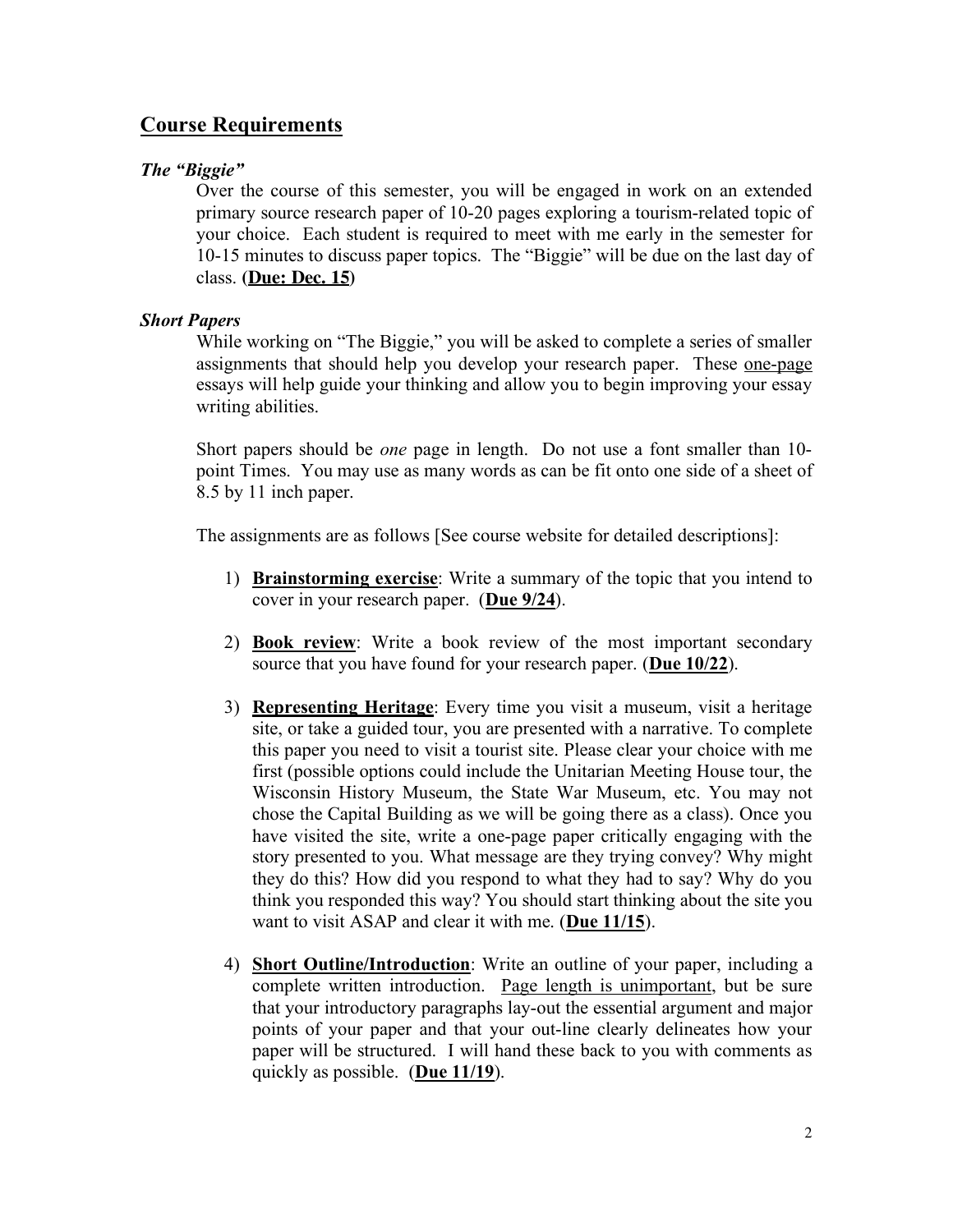# **Course Requirements**

# *The "Biggie"*

Over the course of this semester, you will be engaged in work on an extended primary source research paper of 10-20 pages exploring a tourism-related topic of your choice. Each student is required to meet with me early in the semester for 10-15 minutes to discuss paper topics. The "Biggie" will be due on the last day of class. **(Due: Dec. 15)**

# *Short Papers*

While working on "The Biggie," you will be asked to complete a series of smaller assignments that should help you develop your research paper. These one-page essays will help guide your thinking and allow you to begin improving your essay writing abilities.

Short papers should be *one* page in length. Do not use a font smaller than 10 point Times. You may use as many words as can be fit onto one side of a sheet of 8.5 by 11 inch paper.

The assignments are as follows [See course website for detailed descriptions]:

- 1) **Brainstorming exercise**: Write a summary of the topic that you intend to cover in your research paper. (**Due 9/24**).
- 2) **Book review**: Write a book review of the most important secondary source that you have found for your research paper. (**Due 10/22**).
- 3) **Representing Heritage**: Every time you visit a museum, visit a heritage site, or take a guided tour, you are presented with a narrative. To complete this paper you need to visit a tourist site. Please clear your choice with me first (possible options could include the Unitarian Meeting House tour, the Wisconsin History Museum, the State War Museum, etc. You may not chose the Capital Building as we will be going there as a class). Once you have visited the site, write a one-page paper critically engaging with the story presented to you. What message are they trying convey? Why might they do this? How did you respond to what they had to say? Why do you think you responded this way? You should start thinking about the site you want to visit ASAP and clear it with me. (**Due 11/15**).
- 4) **Short Outline/Introduction**: Write an outline of your paper, including a complete written introduction. Page length is unimportant, but be sure that your introductory paragraphs lay-out the essential argument and major points of your paper and that your out-line clearly delineates how your paper will be structured. I will hand these back to you with comments as quickly as possible. (**Due 11/19**).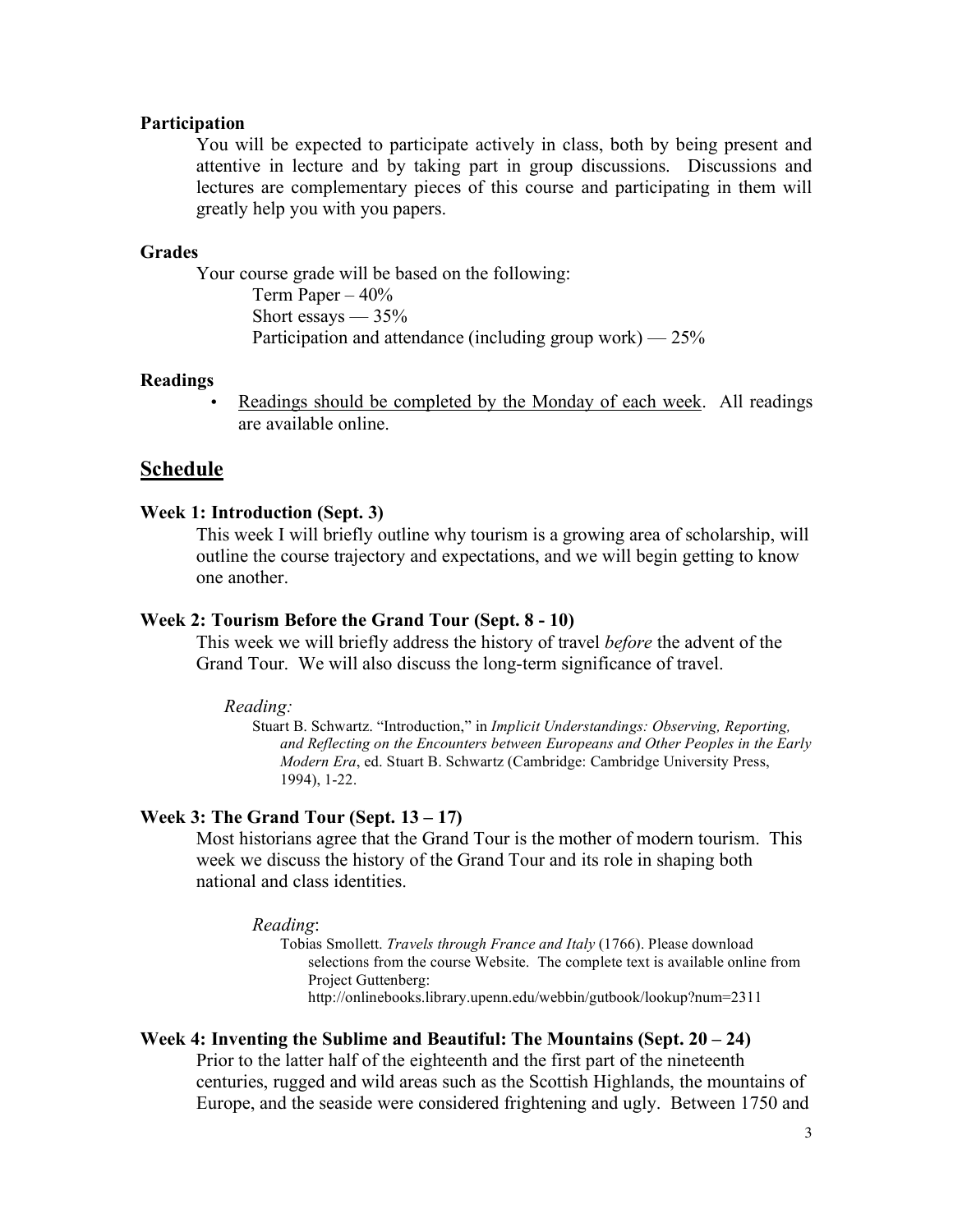# **Participation**

You will be expected to participate actively in class, both by being present and attentive in lecture and by taking part in group discussions. Discussions and lectures are complementary pieces of this course and participating in them will greatly help you with you papers.

### **Grades**

Your course grade will be based on the following: Term Paper  $-40\%$ Short essays  $-35%$ Participation and attendance (including group work)  $-25\%$ 

### **Readings**

Readings should be completed by the Monday of each week. All readings are available online.

## **Schedule**

# **Week 1: Introduction (Sept. 3)**

This week I will briefly outline why tourism is a growing area of scholarship, will outline the course trajectory and expectations, and we will begin getting to know one another.

## **Week 2: Tourism Before the Grand Tour (Sept. 8 - 10)**

This week we will briefly address the history of travel *before* the advent of the Grand Tour. We will also discuss the long-term significance of travel.

#### *Reading:*

Stuart B. Schwartz. "Introduction," in *Implicit Understandings: Observing, Reporting, and Reflecting on the Encounters between Europeans and Other Peoples in the Early Modern Era*, ed. Stuart B. Schwartz (Cambridge: Cambridge University Press, 1994), 1-22.

### **Week 3: The Grand Tour (Sept. 13 – 17)**

Most historians agree that the Grand Tour is the mother of modern tourism. This week we discuss the history of the Grand Tour and its role in shaping both national and class identities.

#### *Reading*:

Tobias Smollett. *Travels through France and Italy* (1766). Please download selections from the course Website. The complete text is available online from Project Guttenberg: http://onlinebooks.library.upenn.edu/webbin/gutbook/lookup?num=2311

# **Week 4: Inventing the Sublime and Beautiful: The Mountains (Sept. 20 – 24)**

Prior to the latter half of the eighteenth and the first part of the nineteenth centuries, rugged and wild areas such as the Scottish Highlands, the mountains of Europe, and the seaside were considered frightening and ugly. Between 1750 and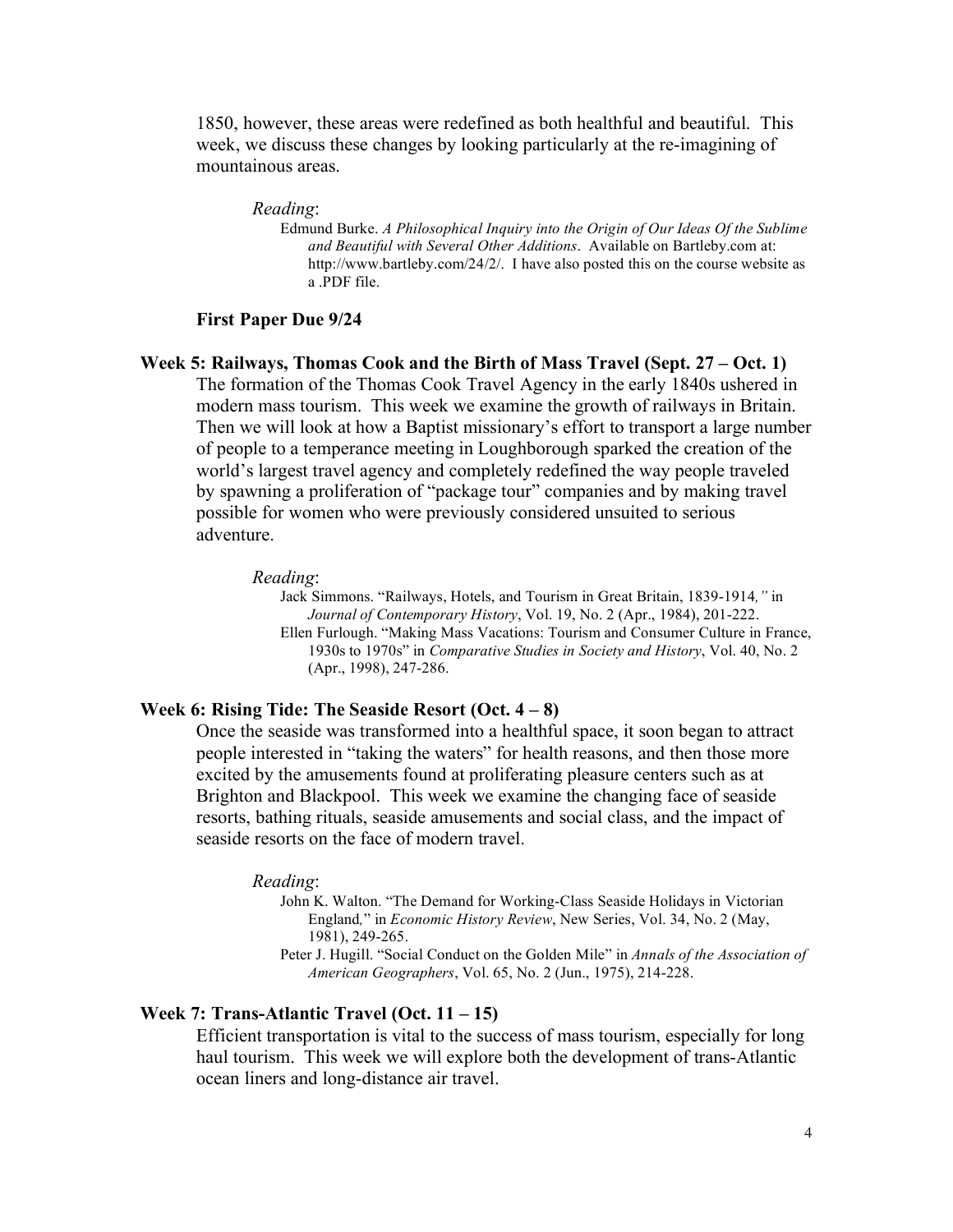1850, however, these areas were redefined as both healthful and beautiful. This week, we discuss these changes by looking particularly at the re-imagining of mountainous areas.

#### *Reading*:

Edmund Burke. *A Philosophical Inquiry into the Origin of Our Ideas Of the Sublime and Beautiful with Several Other Additions*. Available on Bartleby.com at: http://www.bartleby.com/24/2/. I have also posted this on the course website as a .PDF file.

### **First Paper Due 9/24**

# **Week 5: Railways, Thomas Cook and the Birth of Mass Travel (Sept. 27 – Oct. 1)** The formation of the Thomas Cook Travel Agency in the early 1840s ushered in modern mass tourism. This week we examine the growth of railways in Britain. Then we will look at how a Baptist missionary's effort to transport a large number of people to a temperance meeting in Loughborough sparked the creation of the world's largest travel agency and completely redefined the way people traveled by spawning a proliferation of "package tour" companies and by making travel possible for women who were previously considered unsuited to serious adventure.

#### *Reading*:

Jack Simmons. "Railways, Hotels, and Tourism in Great Britain, 1839-1914*,"* in *Journal of Contemporary History*, Vol. 19, No. 2 (Apr., 1984), 201-222. Ellen Furlough. "Making Mass Vacations: Tourism and Consumer Culture in France, 1930s to 1970s" in *Comparative Studies in Society and History*, Vol. 40, No. 2 (Apr., 1998), 247-286.

# **Week 6: Rising Tide: The Seaside Resort (Oct. 4 – 8)**

Once the seaside was transformed into a healthful space, it soon began to attract people interested in "taking the waters" for health reasons, and then those more excited by the amusements found at proliferating pleasure centers such as at Brighton and Blackpool. This week we examine the changing face of seaside resorts, bathing rituals, seaside amusements and social class, and the impact of seaside resorts on the face of modern travel.

#### *Reading*:

John K. Walton. "The Demand for Working-Class Seaside Holidays in Victorian England*,*" in *Economic History Review*, New Series, Vol. 34, No. 2 (May, 1981), 249-265.

Peter J. Hugill. "Social Conduct on the Golden Mile" in *Annals of the Association of American Geographers*, Vol. 65, No. 2 (Jun., 1975), 214-228.

# **Week 7: Trans-Atlantic Travel (Oct. 11 – 15)**

Efficient transportation is vital to the success of mass tourism, especially for long haul tourism. This week we will explore both the development of trans-Atlantic ocean liners and long-distance air travel.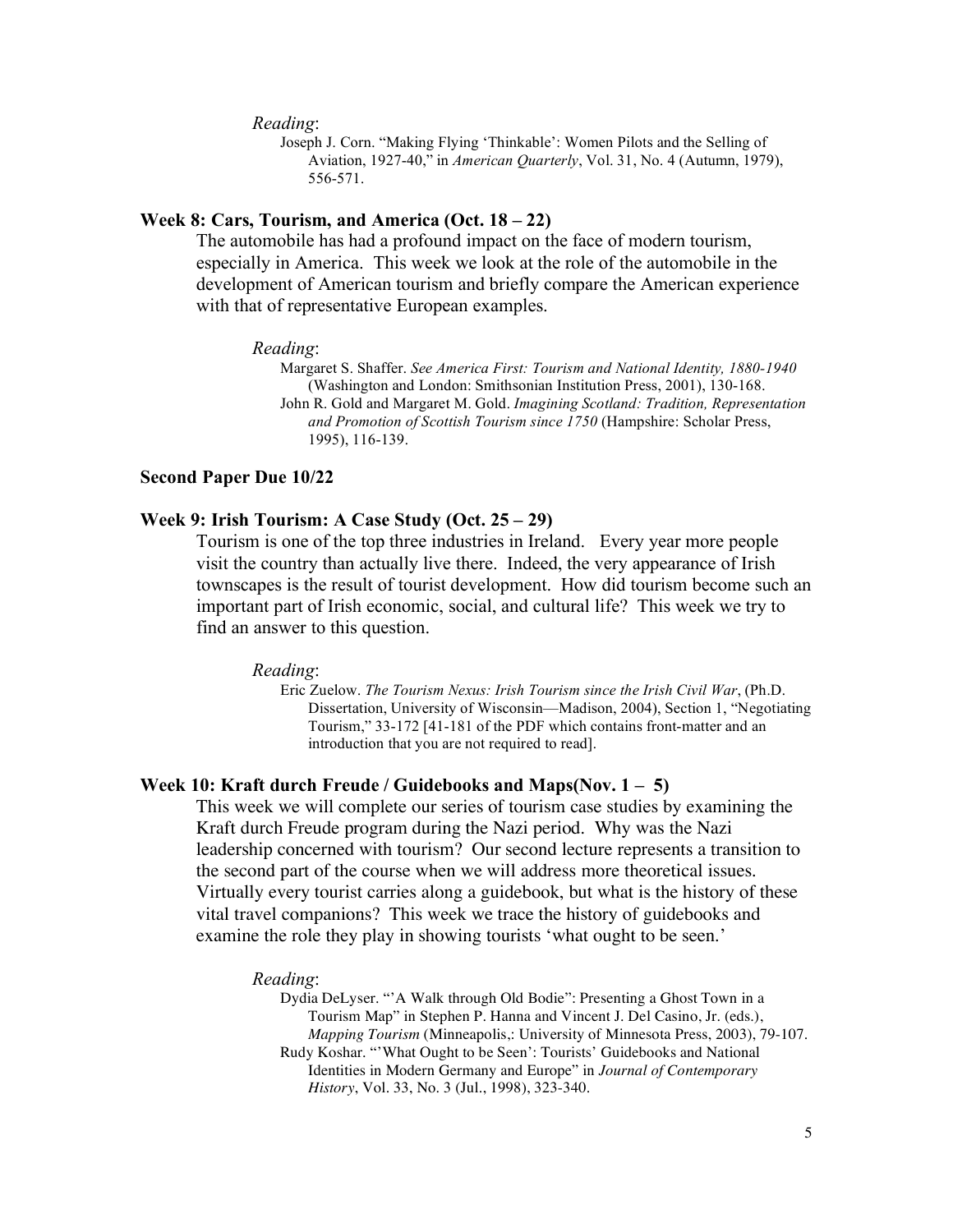*Reading*:

Joseph J. Corn. "Making Flying 'Thinkable': Women Pilots and the Selling of Aviation, 1927-40," in *American Quarterly*, Vol. 31, No. 4 (Autumn, 1979), 556-571.

### **Week 8: Cars, Tourism, and America (Oct. 18 – 22)**

The automobile has had a profound impact on the face of modern tourism, especially in America. This week we look at the role of the automobile in the development of American tourism and briefly compare the American experience with that of representative European examples.

#### *Reading*:

Margaret S. Shaffer. *See America First: Tourism and National Identity, 1880-1940* (Washington and London: Smithsonian Institution Press, 2001), 130-168. John R. Gold and Margaret M. Gold. *Imagining Scotland: Tradition, Representation and Promotion of Scottish Tourism since 1750* (Hampshire: Scholar Press, 1995), 116-139.

#### **Second Paper Due 10/22**

## **Week 9: Irish Tourism: A Case Study (Oct. 25 – 29)**

Tourism is one of the top three industries in Ireland. Every year more people visit the country than actually live there. Indeed, the very appearance of Irish townscapes is the result of tourist development. How did tourism become such an important part of Irish economic, social, and cultural life? This week we try to find an answer to this question.

#### *Reading*:

Eric Zuelow. *The Tourism Nexus: Irish Tourism since the Irish Civil War*, (Ph.D. Dissertation, University of Wisconsin—Madison, 2004), Section 1, "Negotiating Tourism," 33-172 [41-181 of the PDF which contains front-matter and an introduction that you are not required to read].

#### **Week 10: Kraft durch Freude / Guidebooks and Maps(Nov. 1 – 5)**

This week we will complete our series of tourism case studies by examining the Kraft durch Freude program during the Nazi period. Why was the Nazi leadership concerned with tourism? Our second lecture represents a transition to the second part of the course when we will address more theoretical issues. Virtually every tourist carries along a guidebook, but what is the history of these vital travel companions? This week we trace the history of guidebooks and examine the role they play in showing tourists 'what ought to be seen.'

#### *Reading*:

Dydia DeLyser. "'A Walk through Old Bodie": Presenting a Ghost Town in a Tourism Map" in Stephen P. Hanna and Vincent J. Del Casino, Jr. (eds.), *Mapping Tourism* (Minneapolis,: University of Minnesota Press, 2003), 79-107. Rudy Koshar. "'What Ought to be Seen': Tourists' Guidebooks and National Identities in Modern Germany and Europe" in *Journal of Contemporary History*, Vol. 33, No. 3 (Jul., 1998), 323-340.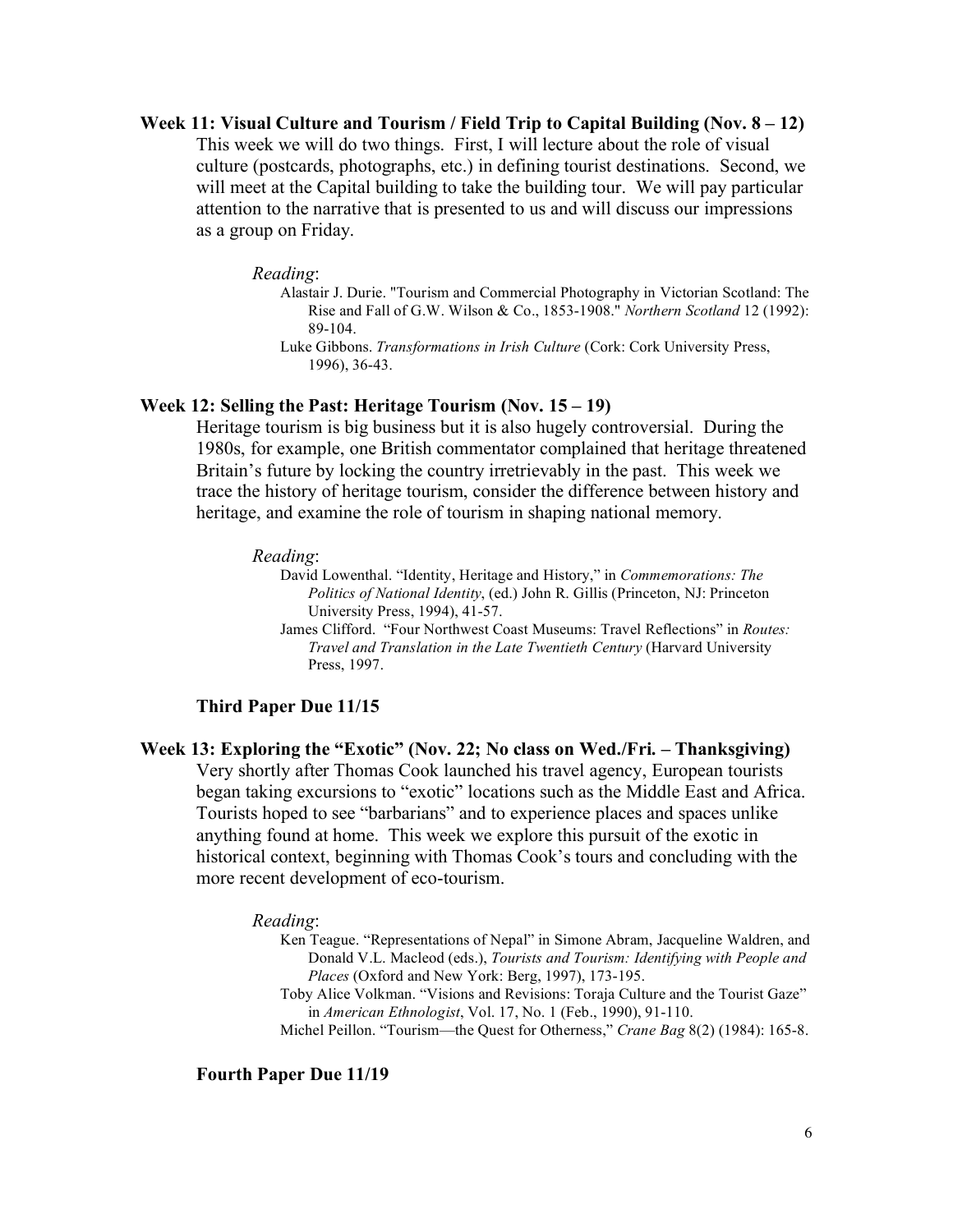**Week 11: Visual Culture and Tourism / Field Trip to Capital Building (Nov. 8 – 12)** This week we will do two things. First, I will lecture about the role of visual culture (postcards, photographs, etc.) in defining tourist destinations. Second, we will meet at the Capital building to take the building tour. We will pay particular attention to the narrative that is presented to us and will discuss our impressions as a group on Friday.

#### *Reading*:

- Alastair J. Durie. "Tourism and Commercial Photography in Victorian Scotland: The Rise and Fall of G.W. Wilson & Co., 1853-1908." *Northern Scotland* 12 (1992): 89-104.
- Luke Gibbons. *Transformations in Irish Culture* (Cork: Cork University Press, 1996), 36-43.

## **Week 12: Selling the Past: Heritage Tourism (Nov. 15 – 19)**

Heritage tourism is big business but it is also hugely controversial. During the 1980s, for example, one British commentator complained that heritage threatened Britain's future by locking the country irretrievably in the past. This week we trace the history of heritage tourism, consider the difference between history and heritage, and examine the role of tourism in shaping national memory.

#### *Reading*:

David Lowenthal. "Identity, Heritage and History," in *Commemorations: The Politics of National Identity*, (ed.) John R. Gillis (Princeton, NJ: Princeton University Press, 1994), 41-57.

James Clifford. "Four Northwest Coast Museums: Travel Reflections" in *Routes: Travel and Translation in the Late Twentieth Century* (Harvard University Press, 1997.

#### **Third Paper Due 11/15**

# **Week 13: Exploring the "Exotic" (Nov. 22; No class on Wed./Fri. – Thanksgiving)**

Very shortly after Thomas Cook launched his travel agency, European tourists began taking excursions to "exotic" locations such as the Middle East and Africa. Tourists hoped to see "barbarians" and to experience places and spaces unlike anything found at home. This week we explore this pursuit of the exotic in historical context, beginning with Thomas Cook's tours and concluding with the more recent development of eco-tourism.

#### *Reading*:

- Ken Teague. "Representations of Nepal" in Simone Abram, Jacqueline Waldren, and Donald V.L. Macleod (eds.), *Tourists and Tourism: Identifying with People and Places* (Oxford and New York: Berg, 1997), 173-195.
- Toby Alice Volkman. "Visions and Revisions: Toraja Culture and the Tourist Gaze" in *American Ethnologist*, Vol. 17, No. 1 (Feb., 1990), 91-110.

Michel Peillon. "Tourism—the Quest for Otherness," *Crane Bag* 8(2) (1984): 165-8.

### **Fourth Paper Due 11/19**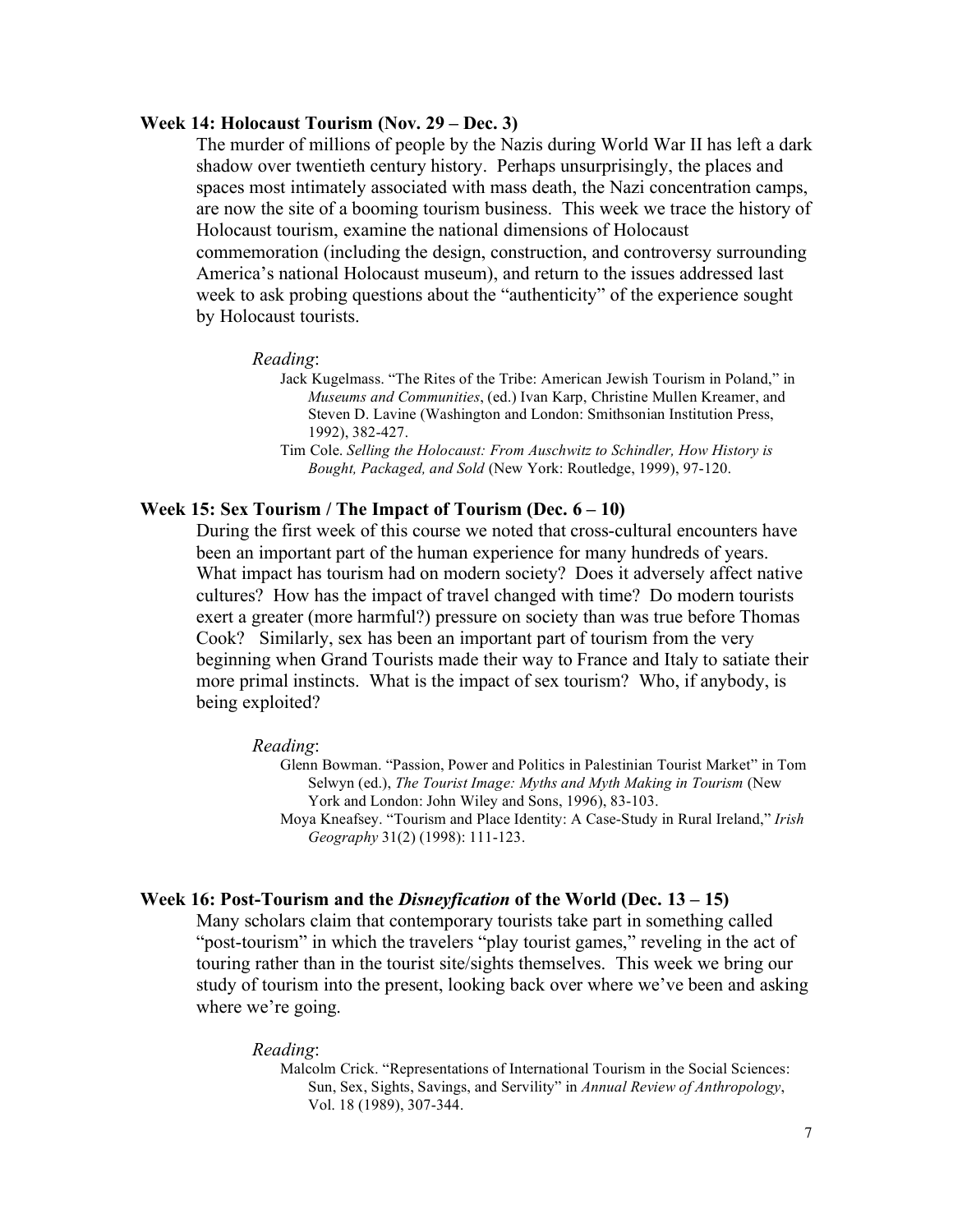## **Week 14: Holocaust Tourism (Nov. 29 – Dec. 3)**

The murder of millions of people by the Nazis during World War II has left a dark shadow over twentieth century history. Perhaps unsurprisingly, the places and spaces most intimately associated with mass death, the Nazi concentration camps, are now the site of a booming tourism business. This week we trace the history of Holocaust tourism, examine the national dimensions of Holocaust commemoration (including the design, construction, and controversy surrounding America's national Holocaust museum), and return to the issues addressed last week to ask probing questions about the "authenticity" of the experience sought by Holocaust tourists.

#### *Reading*:

Jack Kugelmass. "The Rites of the Tribe: American Jewish Tourism in Poland," in *Museums and Communities*, (ed.) Ivan Karp, Christine Mullen Kreamer, and Steven D. Lavine (Washington and London: Smithsonian Institution Press, 1992), 382-427.

Tim Cole. *Selling the Holocaust: From Auschwitz to Schindler, How History is Bought, Packaged, and Sold* (New York: Routledge, 1999), 97-120.

# **Week 15: Sex Tourism / The Impact of Tourism (Dec. 6 – 10)**

During the first week of this course we noted that cross-cultural encounters have been an important part of the human experience for many hundreds of years. What impact has tourism had on modern society? Does it adversely affect native cultures? How has the impact of travel changed with time? Do modern tourists exert a greater (more harmful?) pressure on society than was true before Thomas Cook? Similarly, sex has been an important part of tourism from the very beginning when Grand Tourists made their way to France and Italy to satiate their more primal instincts. What is the impact of sex tourism? Who, if anybody, is being exploited?

#### *Reading*:

Glenn Bowman. "Passion, Power and Politics in Palestinian Tourist Market" in Tom Selwyn (ed.), *The Tourist Image: Myths and Myth Making in Tourism* (New York and London: John Wiley and Sons, 1996), 83-103. Moya Kneafsey. "Tourism and Place Identity: A Case-Study in Rural Ireland," *Irish Geography* 31(2) (1998): 111-123.

### **Week 16: Post-Tourism and the** *Disneyfication* **of the World (Dec. 13 – 15)**

Many scholars claim that contemporary tourists take part in something called "post-tourism" in which the travelers "play tourist games," reveling in the act of touring rather than in the tourist site/sights themselves. This week we bring our study of tourism into the present, looking back over where we've been and asking where we're going.

#### *Reading*:

Malcolm Crick. "Representations of International Tourism in the Social Sciences: Sun, Sex, Sights, Savings, and Servility" in *Annual Review of Anthropology*, Vol. 18 (1989), 307-344.